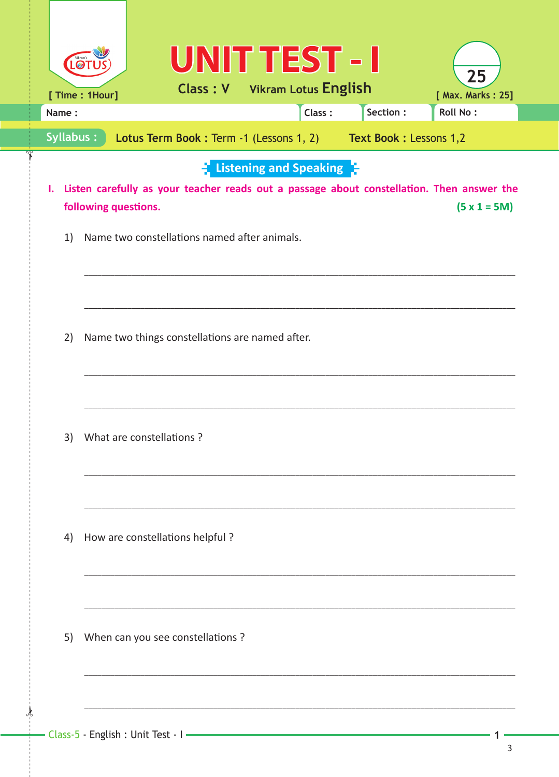| LO <sub>1</sub>  | <b>UNIT TEST - I</b><br>25<br><b>Class: V</b> Vikram Lotus English<br>[ Max. Marks: 25]<br>[ Time : 1Hour]                                                                                |
|------------------|-------------------------------------------------------------------------------------------------------------------------------------------------------------------------------------------|
| Name:            | Section :<br>Class:<br><b>Roll No:</b>                                                                                                                                                    |
| <b>Syllabus:</b> | Lotus Term Book: Term -1 (Lessons 1, 2) Text Book: Lessons 1,2                                                                                                                            |
| Ι.               | $\frac{1}{2}$ Listening and Speaking $\frac{1}{2}$<br>Listen carefully as your teacher reads out a passage about constellation. Then answer the<br>following questions.<br>$(5 x 1 = 5M)$ |
| 1)               | Name two constellations named after animals.                                                                                                                                              |
|                  |                                                                                                                                                                                           |
| 2)               | Name two things constellations are named after.                                                                                                                                           |
|                  |                                                                                                                                                                                           |
| 3)               | What are constellations?                                                                                                                                                                  |
|                  |                                                                                                                                                                                           |
| 4)               | How are constellations helpful?                                                                                                                                                           |
|                  |                                                                                                                                                                                           |
| 5)               | When can you see constellations ?                                                                                                                                                         |
|                  |                                                                                                                                                                                           |

 $\frac{1}{2}$ 

1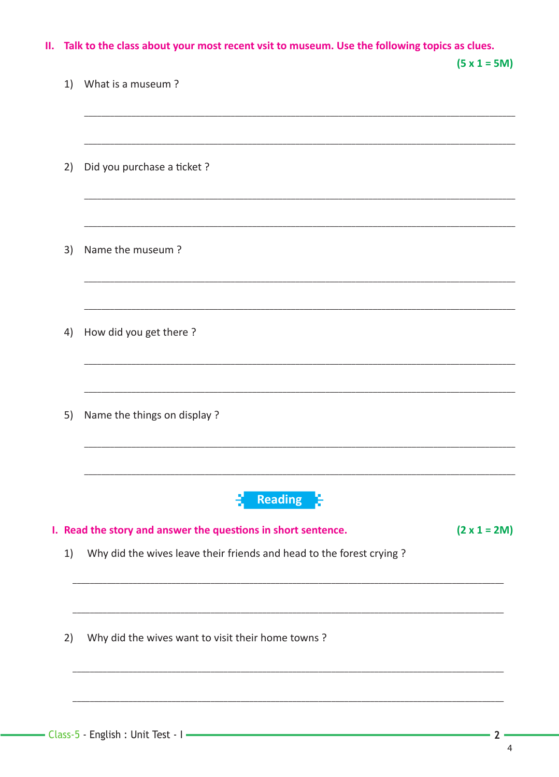|  |  | II. Talk to the class about your most recent vsit to museum. Use the following topics as clues. |  |
|--|--|-------------------------------------------------------------------------------------------------|--|
|--|--|-------------------------------------------------------------------------------------------------|--|

|    |                                                                                 | $(5 x 1 = 5M)$      |
|----|---------------------------------------------------------------------------------|---------------------|
| 1) | What is a museum?                                                               |                     |
|    |                                                                                 |                     |
| 2) | Did you purchase a ticket ?                                                     |                     |
|    |                                                                                 |                     |
| 3) | Name the museum?                                                                |                     |
|    |                                                                                 |                     |
| 4) | How did you get there?                                                          |                     |
|    |                                                                                 |                     |
| 5) | Name the things on display ?                                                    |                     |
|    |                                                                                 |                     |
|    | <b>Reading</b><br>I. Read the story and answer the questions in short sentence. | $(2 \times 1 = 2M)$ |
| 1) | Why did the wives leave their friends and head to the forest crying?            |                     |
|    |                                                                                 |                     |
| 2) | Why did the wives want to visit their home towns?                               |                     |
|    |                                                                                 |                     |
|    |                                                                                 |                     |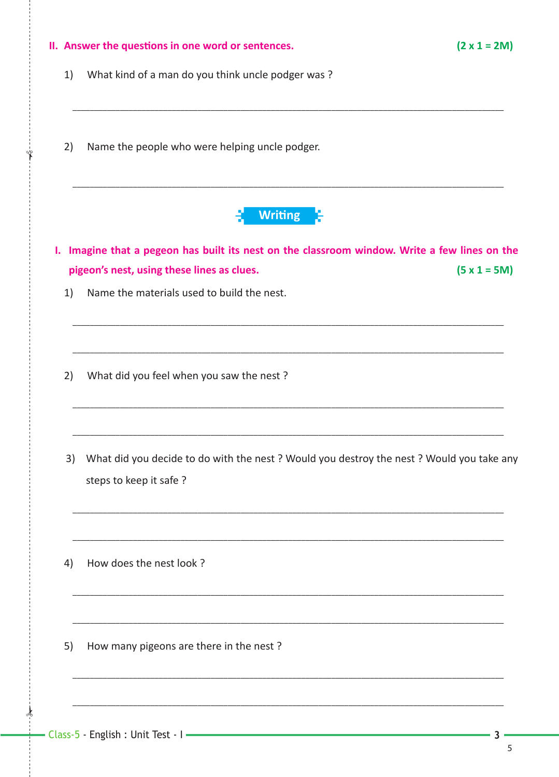| II. Answer the questions in one word or sentences. | $(2 \times 1 = 2M)$                                                                                                                                                                                                                      |
|----------------------------------------------------|------------------------------------------------------------------------------------------------------------------------------------------------------------------------------------------------------------------------------------------|
| What kind of a man do you think uncle podger was?  |                                                                                                                                                                                                                                          |
| Name the people who were helping uncle podger.     |                                                                                                                                                                                                                                          |
| <b>Writing</b>                                     |                                                                                                                                                                                                                                          |
|                                                    |                                                                                                                                                                                                                                          |
| Name the materials used to build the nest.         | $(5 x 1 = 5M)$                                                                                                                                                                                                                           |
| What did you feel when you saw the nest?           |                                                                                                                                                                                                                                          |
| steps to keep it safe ?                            |                                                                                                                                                                                                                                          |
| How does the nest look?                            |                                                                                                                                                                                                                                          |
| How many pigeons are there in the nest?            |                                                                                                                                                                                                                                          |
|                                                    | I. Imagine that a pegeon has built its nest on the classroom window. Write a few lines on the<br>pigeon's nest, using these lines as clues.<br>What did you decide to do with the nest ? Would you destroy the nest ? Would you take any |

 $\frac{1}{2}$ 

Ϋ́

 $\mathbf{3}$